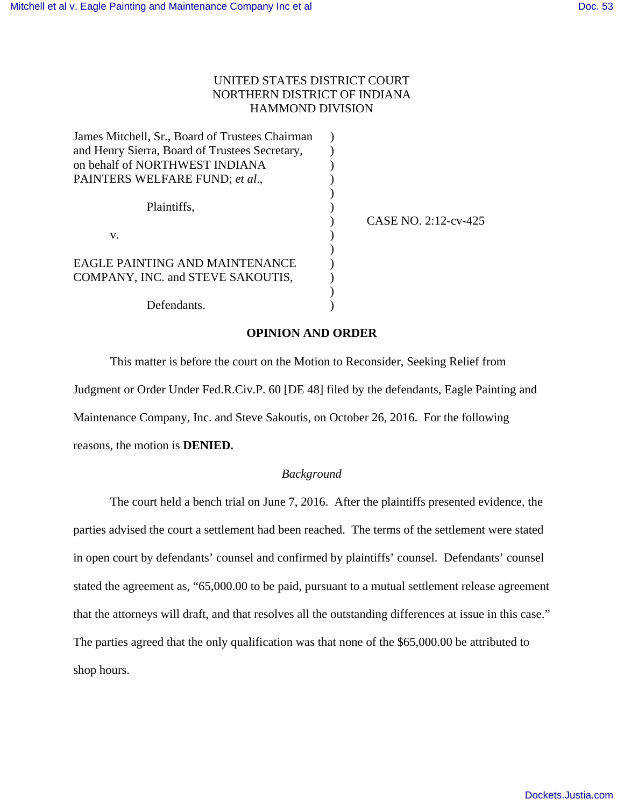## UNITED STATES DISTRICT COURT NORTHERN DISTRICT OF INDIANA HAMMOND DIVISION

| James Mitchell, Sr., Board of Trustees Chairman |                      |
|-------------------------------------------------|----------------------|
| and Henry Sierra, Board of Trustees Secretary,  |                      |
| on behalf of NORTHWEST INDIANA                  |                      |
| PAINTERS WELFARE FUND; et al.,                  |                      |
| Plaintiffs.                                     | CASE NO. 2:12-cv-425 |
| v.                                              |                      |
|                                                 |                      |
| EAGLE PAINTING AND MAINTENANCE                  |                      |
| COMPANY, INC. and STEVE SAKOUTIS,               |                      |
|                                                 |                      |
| Defendants.                                     |                      |

## **OPINION AND ORDER**

This matter is before the court on the Motion to Reconsider, Seeking Relief from Judgment or Order Under Fed.R.Civ.P. 60 [DE 48] filed by the defendants, Eagle Painting and Maintenance Company, Inc. and Steve Sakoutis, on October 26, 2016. For the following reasons, the motion is **DENIED.** 

## *Background*

 The court held a bench trial on June 7, 2016. After the plaintiffs presented evidence, the parties advised the court a settlement had been reached. The terms of the settlement were stated in open court by defendants' counsel and confirmed by plaintiffs' counsel. Defendants' counsel stated the agreement as, "65,000.00 to be paid, pursuant to a mutual settlement release agreement that the attorneys will draft, and that resolves all the outstanding differences at issue in this case." The parties agreed that the only qualification was that none of the \$65,000.00 be attributed to shop hours.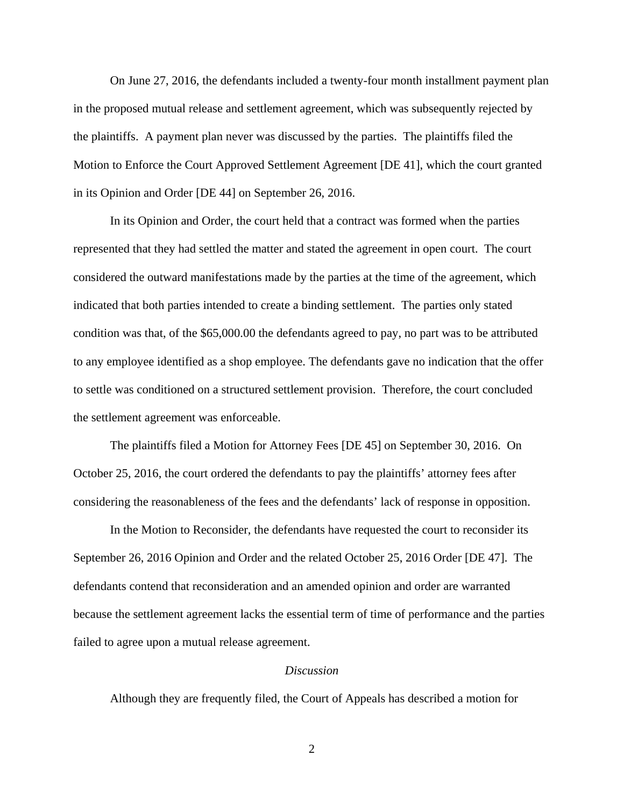On June 27, 2016, the defendants included a twenty-four month installment payment plan in the proposed mutual release and settlement agreement, which was subsequently rejected by the plaintiffs. A payment plan never was discussed by the parties. The plaintiffs filed the Motion to Enforce the Court Approved Settlement Agreement [DE 41], which the court granted in its Opinion and Order [DE 44] on September 26, 2016.

 In its Opinion and Order, the court held that a contract was formed when the parties represented that they had settled the matter and stated the agreement in open court. The court considered the outward manifestations made by the parties at the time of the agreement, which indicated that both parties intended to create a binding settlement. The parties only stated condition was that, of the \$65,000.00 the defendants agreed to pay, no part was to be attributed to any employee identified as a shop employee. The defendants gave no indication that the offer to settle was conditioned on a structured settlement provision. Therefore, the court concluded the settlement agreement was enforceable.

 The plaintiffs filed a Motion for Attorney Fees [DE 45] on September 30, 2016. On October 25, 2016, the court ordered the defendants to pay the plaintiffs' attorney fees after considering the reasonableness of the fees and the defendants' lack of response in opposition.

 In the Motion to Reconsider, the defendants have requested the court to reconsider its September 26, 2016 Opinion and Order and the related October 25, 2016 Order [DE 47]. The defendants contend that reconsideration and an amended opinion and order are warranted because the settlement agreement lacks the essential term of time of performance and the parties failed to agree upon a mutual release agreement.

## *Discussion*

Although they are frequently filed, the Court of Appeals has described a motion for

2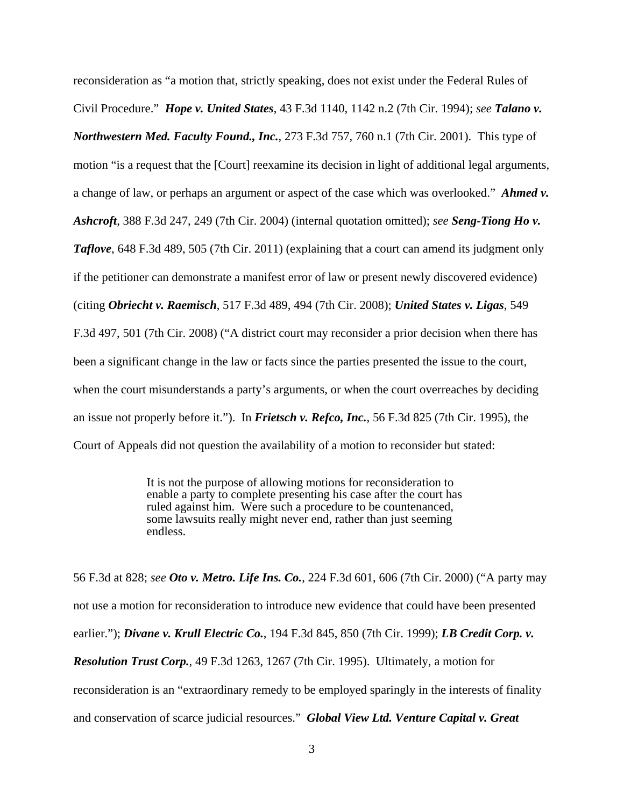reconsideration as "a motion that, strictly speaking, does not exist under the Federal Rules of Civil Procedure." *Hope v. United States*, 43 F.3d 1140, 1142 n.2 (7th Cir. 1994); *see Talano v. Northwestern Med. Faculty Found., Inc.*, 273 F.3d 757, 760 n.1 (7th Cir. 2001). This type of motion "is a request that the [Court] reexamine its decision in light of additional legal arguments, a change of law, or perhaps an argument or aspect of the case which was overlooked." *Ahmed v. Ashcroft*, 388 F.3d 247, 249 (7th Cir. 2004) (internal quotation omitted); *see Seng-Tiong Ho v. Taflove*, 648 F.3d 489, 505 (7th Cir. 2011) (explaining that a court can amend its judgment only if the petitioner can demonstrate a manifest error of law or present newly discovered evidence) (citing *Obriecht v. Raemisch*, 517 F.3d 489, 494 (7th Cir. 2008); *United States v. Ligas*, 549 F.3d 497, 501 (7th Cir. 2008) ("A district court may reconsider a prior decision when there has been a significant change in the law or facts since the parties presented the issue to the court, when the court misunderstands a party's arguments, or when the court overreaches by deciding an issue not properly before it."). In *Frietsch v. Refco, Inc.*, 56 F.3d 825 (7th Cir. 1995), the Court of Appeals did not question the availability of a motion to reconsider but stated:

> It is not the purpose of allowing motions for reconsideration to enable a party to complete presenting his case after the court has ruled against him. Were such a procedure to be countenanced, some lawsuits really might never end, rather than just seeming endless.

56 F.3d at 828; *see Oto v. Metro. Life Ins. Co.*, 224 F.3d 601, 606 (7th Cir. 2000) ("A party may not use a motion for reconsideration to introduce new evidence that could have been presented earlier."); *Divane v. Krull Electric Co.*, 194 F.3d 845, 850 (7th Cir. 1999); *LB Credit Corp. v. Resolution Trust Corp.*, 49 F.3d 1263, 1267 (7th Cir. 1995). Ultimately, a motion for reconsideration is an "extraordinary remedy to be employed sparingly in the interests of finality and conservation of scarce judicial resources." *Global View Ltd. Venture Capital v. Great*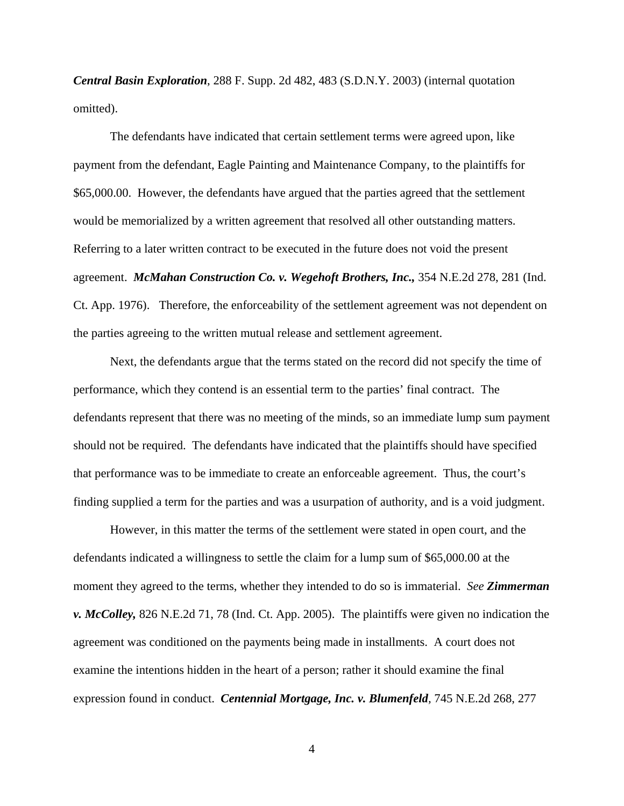*Central Basin Exploration*, 288 F. Supp. 2d 482, 483 (S.D.N.Y. 2003) (internal quotation omitted).

 The defendants have indicated that certain settlement terms were agreed upon, like payment from the defendant, Eagle Painting and Maintenance Company, to the plaintiffs for \$65,000.00. However, the defendants have argued that the parties agreed that the settlement would be memorialized by a written agreement that resolved all other outstanding matters. Referring to a later written contract to be executed in the future does not void the present agreement. *McMahan Construction Co. v. Wegehoft Brothers, Inc.,* 354 N.E.2d 278, 281 (Ind. Ct. App. 1976). Therefore, the enforceability of the settlement agreement was not dependent on the parties agreeing to the written mutual release and settlement agreement.

 Next, the defendants argue that the terms stated on the record did not specify the time of performance, which they contend is an essential term to the parties' final contract. The defendants represent that there was no meeting of the minds, so an immediate lump sum payment should not be required. The defendants have indicated that the plaintiffs should have specified that performance was to be immediate to create an enforceable agreement. Thus, the court's finding supplied a term for the parties and was a usurpation of authority, and is a void judgment.

 However, in this matter the terms of the settlement were stated in open court, and the defendants indicated a willingness to settle the claim for a lump sum of \$65,000.00 at the moment they agreed to the terms, whether they intended to do so is immaterial. *See Zimmerman v. McColley,* 826 N.E.2d 71, 78 (Ind. Ct. App. 2005). The plaintiffs were given no indication the agreement was conditioned on the payments being made in installments. A court does not examine the intentions hidden in the heart of a person; rather it should examine the final expression found in conduct. *Centennial Mortgage, Inc. v. Blumenfeld,* 745 N.E.2d 268, 277

4